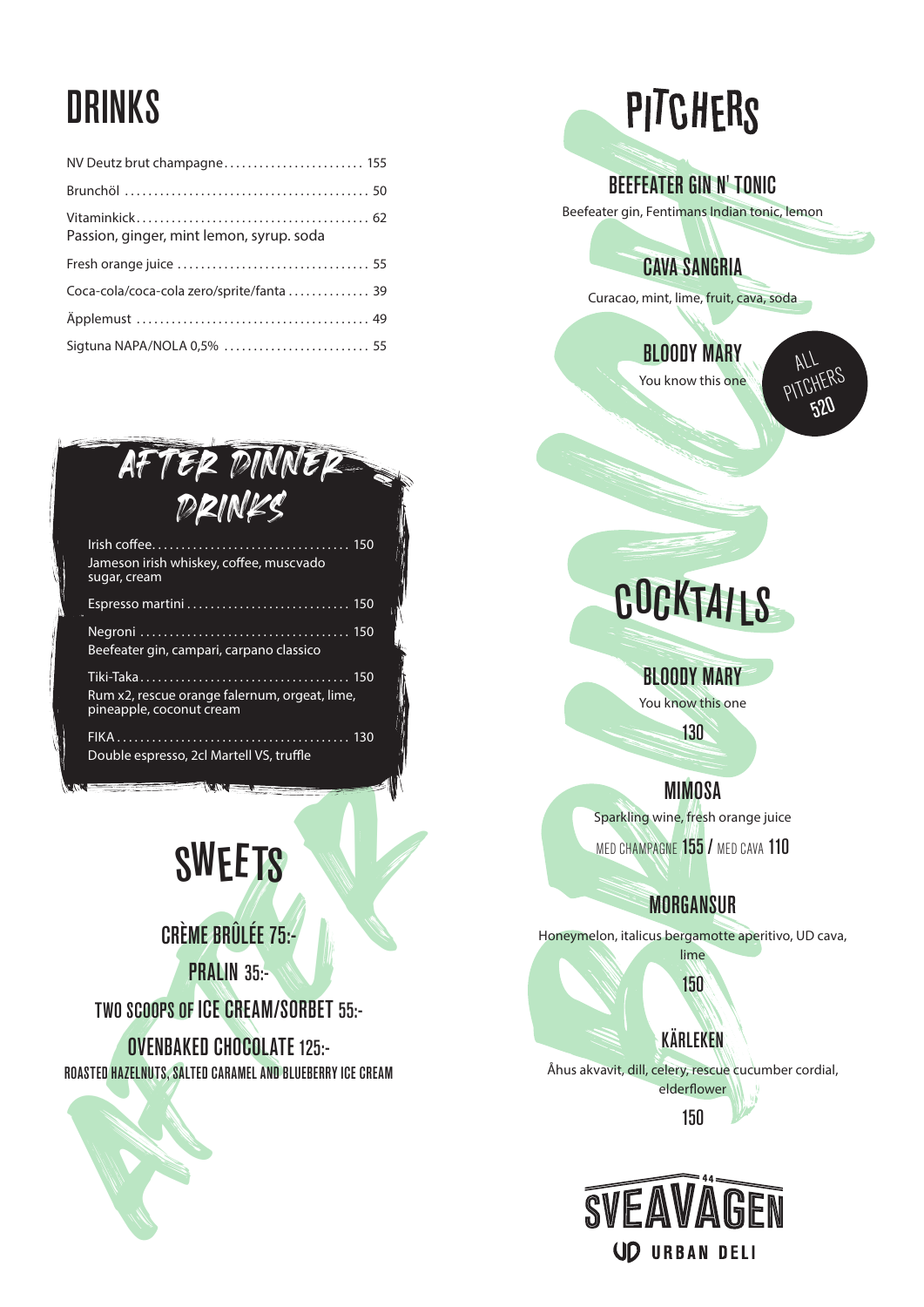## **DRINKS**

| NV Deutz brut champagne 155               |
|-------------------------------------------|
|                                           |
| Passion, ginger, mint lemon, syrup. soda  |
|                                           |
| Coca-cola/coca-cola zero/sprite/fanta  39 |
|                                           |
|                                           |
|                                           |

| TER DINNER                                                                |  |
|---------------------------------------------------------------------------|--|
| DRINKS                                                                    |  |
| Jameson irish whiskey, coffee, muscvado<br>sugar, cream                   |  |
| Espresso martini  150                                                     |  |
| Beefeater gin, campari, carpano classico                                  |  |
| Rum x2, rescue orange falernum, orgeat, lime,<br>pineapple, coconut cream |  |
| $\mathsf{EIKA}\dots$ .<br>Double espresso, 2cl Martell VS, truffle        |  |

## **SWEETS**

CRÈME BRÛLÉE 75:-

PRALIN 35:-TWO SCOOPS OF ICE CREAM/SORBET 55:-

OVENBAKED CHOCOLATE 125:- ROASTED HAZELNUTS, SALTED CARAMEL AND BLUEBERRY ICE CREAM



PITCHERS

#### BEEFEATER GIN N' TONIC

Beefeater gin, Fentimans Indian tonic, lemon

### CAVA SANGRIA

Curacao, mint, lime, fruit, cava, soda

BLOODY MARY You know this one

ALL PITCHERS ና የ

# COCKTAI LS

BLOODY MARY

You know this one

130

#### MIMOSA

Sparkling wine, fresh orange juice MED CHAMPAGNE 155 / MED CAVA 110

### MORGANSUR

Honeymelon, italicus bergamotte aperitivo, UD cava, lime

150

### KÄRLEKEN

Åhus akvavit, dill, celery, rescue cucumber cordial, elderflower

150